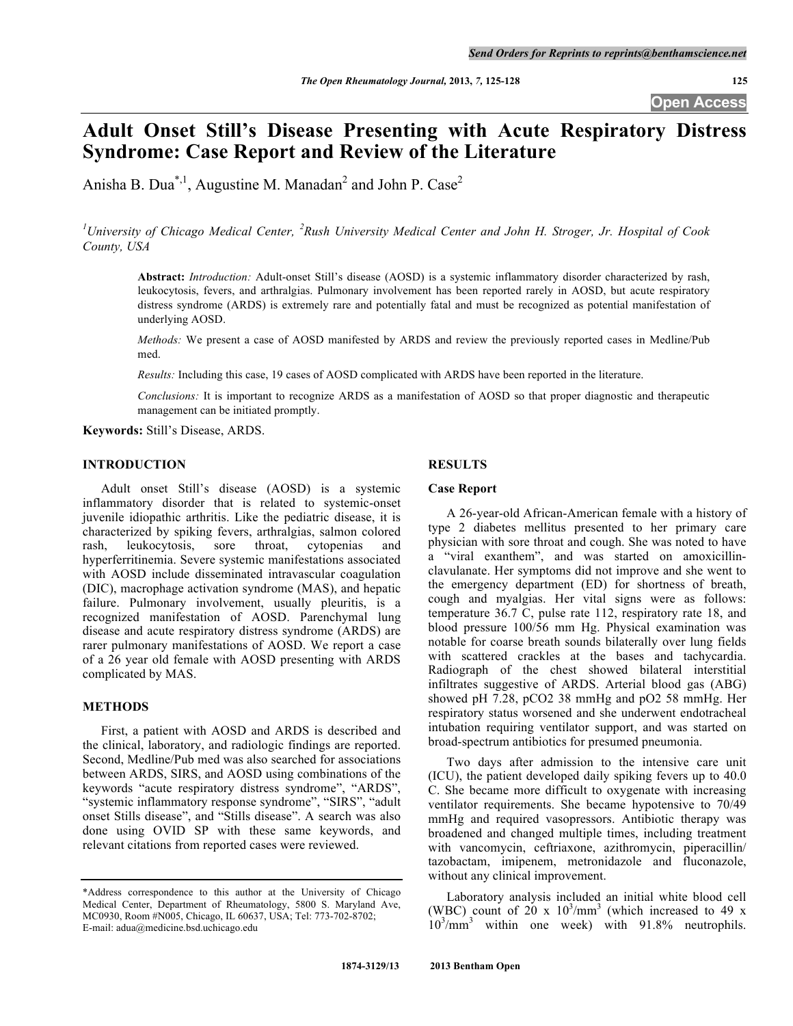**Open Access**

# **Adult Onset Still's Disease Presenting with Acute Respiratory Distress Syndrome: Case Report and Review of the Literature**

Anisha B. Dua<sup>\*,1</sup>, Augustine M. Manadan<sup>2</sup> and John P. Case<sup>2</sup>

<sup>1</sup>University of Chicago Medical Center, <sup>2</sup>Rush University Medical Center and John H. Stroger, Jr. Hospital of Cook *County, USA*

**Abstract:** *Introduction:* Adult-onset Still's disease (AOSD) is a systemic inflammatory disorder characterized by rash, leukocytosis, fevers, and arthralgias. Pulmonary involvement has been reported rarely in AOSD, but acute respiratory distress syndrome (ARDS) is extremely rare and potentially fatal and must be recognized as potential manifestation of underlying AOSD.

*Methods:* We present a case of AOSD manifested by ARDS and review the previously reported cases in Medline/Pub med.

*Results:* Including this case, 19 cases of AOSD complicated with ARDS have been reported in the literature.

*Conclusions:* It is important to recognize ARDS as a manifestation of AOSD so that proper diagnostic and therapeutic management can be initiated promptly.

**Keywords:** Still's Disease, ARDS.

# **INTRODUCTION**

Adult onset Still's disease (AOSD) is a systemic inflammatory disorder that is related to systemic-onset juvenile idiopathic arthritis. Like the pediatric disease, it is characterized by spiking fevers, arthralgias, salmon colored rash, leukocytosis, sore throat, cytopenias and hyperferritinemia. Severe systemic manifestations associated with AOSD include disseminated intravascular coagulation (DIC), macrophage activation syndrome (MAS), and hepatic failure. Pulmonary involvement, usually pleuritis, is a recognized manifestation of AOSD. Parenchymal lung disease and acute respiratory distress syndrome (ARDS) are rarer pulmonary manifestations of AOSD. We report a case of a 26 year old female with AOSD presenting with ARDS complicated by MAS.

## **METHODS**

First, a patient with AOSD and ARDS is described and the clinical, laboratory, and radiologic findings are reported. Second, Medline/Pub med was also searched for associations between ARDS, SIRS, and AOSD using combinations of the keywords "acute respiratory distress syndrome", "ARDS", "systemic inflammatory response syndrome", "SIRS", "adult onset Stills disease", and "Stills disease". A search was also done using OVID SP with these same keywords, and relevant citations from reported cases were reviewed.

# **RESULTS**

## **Case Report**

A 26-year-old African-American female with a history of type 2 diabetes mellitus presented to her primary care physician with sore throat and cough. She was noted to have a "viral exanthem", and was started on amoxicillinclavulanate. Her symptoms did not improve and she went to the emergency department (ED) for shortness of breath, cough and myalgias. Her vital signs were as follows: temperature 36.7 C, pulse rate 112, respiratory rate 18, and blood pressure 100/56 mm Hg. Physical examination was notable for coarse breath sounds bilaterally over lung fields with scattered crackles at the bases and tachycardia. Radiograph of the chest showed bilateral interstitial infiltrates suggestive of ARDS. Arterial blood gas (ABG) showed pH 7.28, pCO2 38 mmHg and pO2 58 mmHg. Her respiratory status worsened and she underwent endotracheal intubation requiring ventilator support, and was started on broad-spectrum antibiotics for presumed pneumonia.

Two days after admission to the intensive care unit (ICU), the patient developed daily spiking fevers up to 40.0 C. She became more difficult to oxygenate with increasing ventilator requirements. She became hypotensive to 70/49 mmHg and required vasopressors. Antibiotic therapy was broadened and changed multiple times, including treatment with vancomycin, ceftriaxone, azithromycin, piperacillin/ tazobactam, imipenem, metronidazole and fluconazole, without any clinical improvement.

Laboratory analysis included an initial white blood cell (WBC) count of  $20 \times 10^3/\text{mm}^3$  (which increased to 49 x 10<sup>3</sup> /mm<sup>3</sup> within one week) with 91.8% neutrophils.

<sup>\*</sup>Address correspondence to this author at the University of Chicago Medical Center, Department of Rheumatology, 5800 S. Maryland Ave, MC0930, Room #N005, Chicago, IL 60637, USA; Tel: 773-702-8702; E-mail: adua@medicine.bsd.uchicago.edu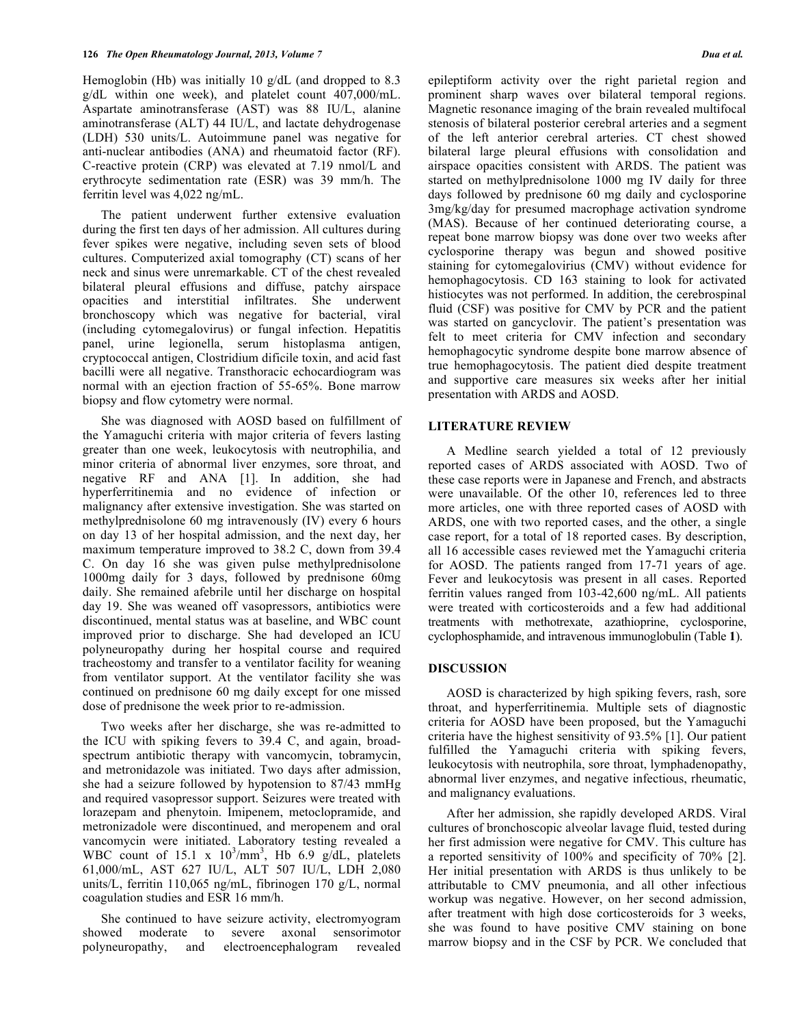Hemoglobin (Hb) was initially 10 g/dL (and dropped to 8.3 g/dL within one week), and platelet count 407,000/mL. Aspartate aminotransferase (AST) was 88 IU/L, alanine aminotransferase (ALT) 44 IU/L, and lactate dehydrogenase (LDH) 530 units/L. Autoimmune panel was negative for anti-nuclear antibodies (ANA) and rheumatoid factor (RF). C-reactive protein (CRP) was elevated at 7.19 nmol/L and erythrocyte sedimentation rate (ESR) was 39 mm/h. The ferritin level was 4,022 ng/mL.

The patient underwent further extensive evaluation during the first ten days of her admission. All cultures during fever spikes were negative, including seven sets of blood cultures. Computerized axial tomography (CT) scans of her neck and sinus were unremarkable. CT of the chest revealed bilateral pleural effusions and diffuse, patchy airspace opacities and interstitial infiltrates. She underwent bronchoscopy which was negative for bacterial, viral (including cytomegalovirus) or fungal infection. Hepatitis panel, urine legionella, serum histoplasma antigen, cryptococcal antigen, Clostridium dificile toxin, and acid fast bacilli were all negative. Transthoracic echocardiogram was normal with an ejection fraction of 55-65%. Bone marrow biopsy and flow cytometry were normal.

She was diagnosed with AOSD based on fulfillment of the Yamaguchi criteria with major criteria of fevers lasting greater than one week, leukocytosis with neutrophilia, and minor criteria of abnormal liver enzymes, sore throat, and negative RF and ANA [1]. In addition, she had hyperferritinemia and no evidence of infection or malignancy after extensive investigation. She was started on methylprednisolone 60 mg intravenously (IV) every 6 hours on day 13 of her hospital admission, and the next day, her maximum temperature improved to 38.2 C, down from 39.4 C. On day 16 she was given pulse methylprednisolone 1000mg daily for 3 days, followed by prednisone 60mg daily. She remained afebrile until her discharge on hospital day 19. She was weaned off vasopressors, antibiotics were discontinued, mental status was at baseline, and WBC count improved prior to discharge. She had developed an ICU polyneuropathy during her hospital course and required tracheostomy and transfer to a ventilator facility for weaning from ventilator support. At the ventilator facility she was continued on prednisone 60 mg daily except for one missed dose of prednisone the week prior to re-admission.

Two weeks after her discharge, she was re-admitted to the ICU with spiking fevers to 39.4 C, and again, broadspectrum antibiotic therapy with vancomycin, tobramycin, and metronidazole was initiated. Two days after admission, she had a seizure followed by hypotension to 87/43 mmHg and required vasopressor support. Seizures were treated with lorazepam and phenytoin. Imipenem, metoclopramide, and metronizadole were discontinued, and meropenem and oral vancomycin were initiated. Laboratory testing revealed a WBC count of 15.1 x  $10^3/\text{mm}^3$ , Hb 6.9 g/dL, platelets 61,000/mL, AST 627 IU/L, ALT 507 IU/L, LDH 2,080 units/L, ferritin 110,065 ng/mL, fibrinogen 170 g/L, normal coagulation studies and ESR 16 mm/h.

She continued to have seizure activity, electromyogram showed moderate to severe axonal sensorimotor polyneuropathy, and electroencephalogram revealed epileptiform activity over the right parietal region and prominent sharp waves over bilateral temporal regions. Magnetic resonance imaging of the brain revealed multifocal stenosis of bilateral posterior cerebral arteries and a segment of the left anterior cerebral arteries. CT chest showed bilateral large pleural effusions with consolidation and airspace opacities consistent with ARDS. The patient was started on methylprednisolone 1000 mg IV daily for three days followed by prednisone 60 mg daily and cyclosporine 3mg/kg/day for presumed macrophage activation syndrome (MAS). Because of her continued deteriorating course, a repeat bone marrow biopsy was done over two weeks after cyclosporine therapy was begun and showed positive staining for cytomegalovirius (CMV) without evidence for hemophagocytosis. CD 163 staining to look for activated histiocytes was not performed. In addition, the cerebrospinal fluid (CSF) was positive for CMV by PCR and the patient was started on gancyclovir. The patient's presentation was felt to meet criteria for CMV infection and secondary hemophagocytic syndrome despite bone marrow absence of true hemophagocytosis. The patient died despite treatment and supportive care measures six weeks after her initial presentation with ARDS and AOSD.

## **LITERATURE REVIEW**

A Medline search yielded a total of 12 previously reported cases of ARDS associated with AOSD. Two of these case reports were in Japanese and French, and abstracts were unavailable. Of the other 10, references led to three more articles, one with three reported cases of AOSD with ARDS, one with two reported cases, and the other, a single case report, for a total of 18 reported cases. By description, all 16 accessible cases reviewed met the Yamaguchi criteria for AOSD. The patients ranged from 17-71 years of age. Fever and leukocytosis was present in all cases. Reported ferritin values ranged from 103-42,600 ng/mL. All patients were treated with corticosteroids and a few had additional treatments with methotrexate, azathioprine, cyclosporine, cyclophosphamide, and intravenous immunoglobulin (Table **1**).

### **DISCUSSION**

AOSD is characterized by high spiking fevers, rash, sore throat, and hyperferritinemia. Multiple sets of diagnostic criteria for AOSD have been proposed, but the Yamaguchi criteria have the highest sensitivity of 93.5% [1]. Our patient fulfilled the Yamaguchi criteria with spiking fevers, leukocytosis with neutrophila, sore throat, lymphadenopathy, abnormal liver enzymes, and negative infectious, rheumatic, and malignancy evaluations.

After her admission, she rapidly developed ARDS. Viral cultures of bronchoscopic alveolar lavage fluid, tested during her first admission were negative for CMV. This culture has a reported sensitivity of 100% and specificity of 70% [2]. Her initial presentation with ARDS is thus unlikely to be attributable to CMV pneumonia, and all other infectious workup was negative. However, on her second admission, after treatment with high dose corticosteroids for 3 weeks, she was found to have positive CMV staining on bone marrow biopsy and in the CSF by PCR. We concluded that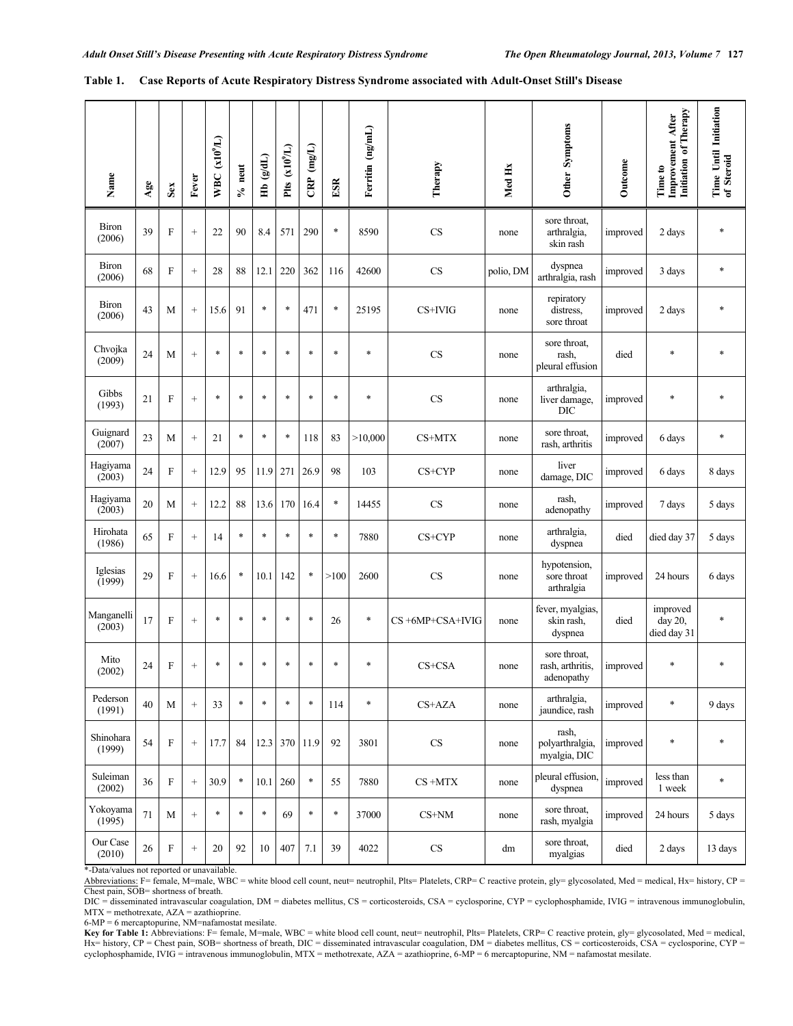| Name                   | Age    | Sex                       | Fever             | WBC $(x10^9/L)$ | $%$ neut | Hb $(g/dL)$ | Plts $(x10^9/L)$ | $CRP$ (mg/L) | ESR    | Ferritin (ng/mL) | Therapy                | Med Hx    | Other Symptoms                                 | Outcome  | Initiation of Therapy<br>Improvement After<br>Time to | Time Until Initiation<br>of Steroid |
|------------------------|--------|---------------------------|-------------------|-----------------|----------|-------------|------------------|--------------|--------|------------------|------------------------|-----------|------------------------------------------------|----------|-------------------------------------------------------|-------------------------------------|
| <b>Biron</b><br>(2006) | 39     | $\boldsymbol{\mathrm{F}}$ | $\! + \!\!\!\!$   | 22              | 90       | 8.4         | 571              | 290          | $\ast$ | 8590             | <b>CS</b>              | none      | sore throat,<br>arthralgia,<br>skin rash       | improved | 2 days                                                | $\ast$                              |
| <b>Biron</b><br>(2006) | 68     | F                         | $\! + \!\!\!\!$   | 28              | 88       | 12.1        | 220              | 362          | 116    | 42600            | CS                     | polio, DM | dyspnea<br>arthralgia, rash                    | improved | 3 days                                                | *                                   |
| <b>Biron</b><br>(2006) | 43     | M                         | $\! + \!\!\!\!$   | 15.6            | 91       | $\ast$      | $\ast$           | 471          | $\ast$ | 25195            | CS+IVIG                | none      | repiratory<br>distress,<br>sore throat         | improved | 2 days                                                | $\ast$                              |
| Chvojka<br>(2009)      | 24     | M                         | $\! + \!\!\!\!$   | $\ast$          | $\ast$   | $\ast$      | $\ast$           | $\ast$       | $\ast$ | $\ast$           | CS                     | none      | sore throat,<br>rash,<br>pleural effusion      | died     | $\ast$                                                | $\ast$                              |
| Gibbs<br>(1993)        | 21     | F                         | $\! + \!\!\!\!$   | $\ast$          | $\ast$   | $\ast$      | $\ast$           | $\ast$       | $\ast$ | $\ast$           | <b>CS</b>              | none      | arthralgia,<br>liver damage,<br><b>DIC</b>     | improved | $\ast$                                                | $\ast$                              |
| Guignard<br>(2007)     | 23     | M                         | $\! + \!\!\!\!$   | 21              | $\ast$   | $\ast$      | $\ast$           | 118          | 83     | >10,000          | CS+MTX                 | none      | sore throat.<br>rash, arthritis                | improved | 6 days                                                | $\ast$                              |
| Hagiyama<br>(2003)     | 24     | $\boldsymbol{\mathrm{F}}$ | $\! + \!\!\!\!$   | 12.9            | 95       | 11.9        | 271              | 26.9         | 98     | 103              | CS+CYP                 | none      | liver<br>damage, DIC                           | improved | 6 days                                                | 8 days                              |
| Hagiyama<br>(2003)     | 20     | M                         | $\! + \!\!\!\!$   | 12.2            | 88       | 13.6        | 170              | 16.4         | $\ast$ | 14455            | CS                     | none      | rash,<br>adenopathy                            | improved | 7 days                                                | 5 days                              |
| Hirohata<br>(1986)     | 65     | $\boldsymbol{\mathrm{F}}$ | $\! + \!\!\!\!$   | 14              | $\ast$   | $\ast$      | $\ast$           | $\ast$       | $\ast$ | 7880             | CS+CYP                 | none      | arthralgia,<br>dyspnea                         | died     | died day 37                                           | 5 days                              |
| Iglesias<br>(1999)     | 29     | F                         | $^{+}$            | 16.6            | *        | 10.1        | 142              | *            | >100   | 2600             | CS                     | none      | hypotension,<br>sore throat<br>arthralgia      | improved | 24 hours                                              | 6 days                              |
| Manganelli<br>(2003)   | 17     | $\boldsymbol{\mathrm{F}}$ | $+$               | $\ast$          | $\ast$   | $\ast$      | $\ast$           | $\ast$       | 26     | $\ast$           | CS+6MP+CSA+IVIG        | none      | fever, myalgias,<br>skin rash,<br>dyspnea      | died     | improved<br>day 20,<br>died day 31                    | *                                   |
| Mito<br>(2002)         | 24     | $\boldsymbol{\mathrm{F}}$ | $\! + \!\!\!\!$   | $\ast$          | *        | $\ast$      | $\ast$           | $\ast$       | $\ast$ | $\ast$           | CS+CSA                 | none      | sore throat.<br>rash, arthritis,<br>adenopathy | improved | $\ast$                                                | $\ast$                              |
| Pederson<br>(1991)     | 40     | M                         | $\qquad \qquad +$ | 33              | $\ast$   | $\ast$      | $\ast$           | $\ast$       | 114    | $\ast$           | CS+AZA                 | none      | arthralgia,<br>jaundice, rash                  | improved | $\ast$                                                | 9 days                              |
| Shinohara<br>(1999)    | 54     | $\boldsymbol{\mathrm{F}}$ | $\! + \!\!\!\!$   | 17.7            | 84       | 12.3        | 370              | 11.9         | 92     | 3801             | $\mathbf{C}\mathbf{S}$ | none      | rash,<br>polyarthralgia,<br>myalgia, DIC       | improved | $\ast$                                                | $\ast$                              |
| Suleiman<br>(2002)     | 36     | ${\bf F}$                 | $\! + \!\!\!\!$   | 30.9            | $\ast$   | 10.1        | 260              | $\ast$       | 55     | 7880             | $CS + MTX$             | none      | pleural effusion.<br>dyspnea                   | improved | less than<br>1 week                                   | $\ast$                              |
| Yokoyama<br>(1995)     | 71     | $\mathbf M$               | $+$               | $\ast$          | $\ast$   | $\ast$      | 69               | $\ast$       | $\ast$ | 37000            | $CS+NM$                | none      | sore throat,<br>rash, myalgia                  | improved | 24 hours                                              | 5 days                              |
| Our Case<br>(2010)     | $26\,$ | $\boldsymbol{\mathrm{F}}$ | $\! + \!\!\!\!$   | 20              | 92       | 10          | 407              | 7.1          | 39     | 4022             | $\rm CS$               | dm        | sore throat,<br>myalgias                       | died     | 2 days                                                | 13 days                             |

| Table 1. Case Reports of Acute Respiratory Distress Syndrome associated with Adult-Onset Still's Disease |  |  |
|----------------------------------------------------------------------------------------------------------|--|--|
|                                                                                                          |  |  |

\*-Data/values not reported or unavailable.

Abbreviations: F= female, M=male, WBC = white blood cell count, neut= neutrophil, Plts= Platelets, CRP= C reactive protein, gly= glycosolated, Med = medical, Hx= history, CP = Chest pain, SOB= shortness of breath.

DIC = disseminated intravascular coagulation, DM = diabetes mellitus, CS = corticosteroids, CSA = cyclosporine, CYP = cyclophosphamide, IVIG = intravenous immunoglobulin, MTX = methotrexate, AZA = azathioprine.

6-MP = 6 mercaptopurine, NM=nafamostat mesilate.

Key for Table 1: Abbreviations: F= female, M=male, WBC = white blood cell count, neut= neutrophil, Plts= Platelets, CRP= C reactive protein, gly= glycosolated, Med = medical, The = hedical, The history, CP = Chest pain, SO cyclophosphamide, IVIG = intravenous immunoglobulin, MTX = methotrexate, AZA = azathioprine, 6-MP = 6 mercaptopurine, NM = nafamostat mesilate.